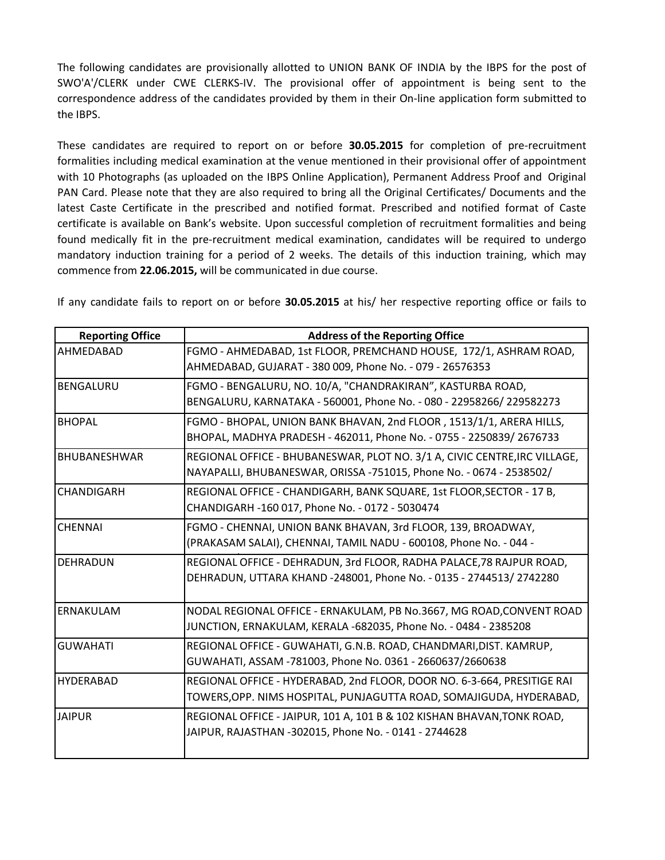The following candidates are provisionally allotted to UNION BANK OF INDIA by the IBPS for the post of SWO'A'/CLERK under CWE CLERKS-IV. The provisional offer of appointment is being sent to the correspondence address of the candidates provided by them in their On-line application form submitted to the IBPS.

These candidates are required to report on or before **30.05.2015** for completion of pre-recruitment formalities including medical examination at the venue mentioned in their provisional offer of appointment with 10 Photographs (as uploaded on the IBPS Online Application), Permanent Address Proof and Original PAN Card. Please note that they are also required to bring all the Original Certificates/ Documents and the latest Caste Certificate in the prescribed and notified format. Prescribed and notified format of Caste certificate is available on Bank's website. Upon successful completion of recruitment formalities and being found medically fit in the pre-recruitment medical examination, candidates will be required to undergo mandatory induction training for a period of 2 weeks. The details of this induction training, which may commence from **22.06.2015,** will be communicated in due course.

If any candidate fails to report on or before **30.05.2015** at his/ her respective reporting office or fails to

| <b>Reporting Office</b> | <b>Address of the Reporting Office</b>                                                                                                           |
|-------------------------|--------------------------------------------------------------------------------------------------------------------------------------------------|
| AHMEDABAD               | FGMO - AHMEDABAD, 1st FLOOR, PREMCHAND HOUSE, 172/1, ASHRAM ROAD,<br>AHMEDABAD, GUJARAT - 380 009, Phone No. - 079 - 26576353                    |
| <b>BENGALURU</b>        | FGMO - BENGALURU, NO. 10/A, "CHANDRAKIRAN", KASTURBA ROAD,<br>BENGALURU, KARNATAKA - 560001, Phone No. - 080 - 22958266/ 229582273               |
| <b>BHOPAL</b>           | FGMO - BHOPAL, UNION BANK BHAVAN, 2nd FLOOR, 1513/1/1, ARERA HILLS,<br>BHOPAL, MADHYA PRADESH - 462011, Phone No. - 0755 - 2250839/ 2676733      |
| <b>BHUBANESHWAR</b>     | REGIONAL OFFICE - BHUBANESWAR, PLOT NO. 3/1 A, CIVIC CENTRE, IRC VILLAGE,<br>NAYAPALLI, BHUBANESWAR, ORISSA -751015, Phone No. - 0674 - 2538502/ |
| <b>CHANDIGARH</b>       | REGIONAL OFFICE - CHANDIGARH, BANK SQUARE, 1st FLOOR, SECTOR - 17 B,<br>CHANDIGARH -160 017, Phone No. - 0172 - 5030474                          |
| <b>CHENNAI</b>          | FGMO - CHENNAI, UNION BANK BHAVAN, 3rd FLOOR, 139, BROADWAY,<br>(PRAKASAM SALAI), CHENNAI, TAMIL NADU - 600108, Phone No. - 044 -                |
| <b>DEHRADUN</b>         | REGIONAL OFFICE - DEHRADUN, 3rd FLOOR, RADHA PALACE, 78 RAJPUR ROAD,<br>DEHRADUN, UTTARA KHAND -248001, Phone No. - 0135 - 2744513/ 2742280      |
| ERNAKULAM               | NODAL REGIONAL OFFICE - ERNAKULAM, PB No.3667, MG ROAD, CONVENT ROAD<br>JUNCTION, ERNAKULAM, KERALA -682035, Phone No. - 0484 - 2385208          |
| <b>GUWAHATI</b>         | REGIONAL OFFICE - GUWAHATI, G.N.B. ROAD, CHANDMARI, DIST. KAMRUP,<br>GUWAHATI, ASSAM -781003, Phone No. 0361 - 2660637/2660638                   |
| <b>HYDERABAD</b>        | REGIONAL OFFICE - HYDERABAD, 2nd FLOOR, DOOR NO. 6-3-664, PRESITIGE RAI<br>TOWERS,OPP. NIMS HOSPITAL, PUNJAGUTTA ROAD, SOMAJIGUDA, HYDERABAD,    |
| <b>JAIPUR</b>           | REGIONAL OFFICE - JAIPUR, 101 A, 101 B & 102 KISHAN BHAVAN, TONK ROAD,<br>JAIPUR, RAJASTHAN -302015, Phone No. - 0141 - 2744628                  |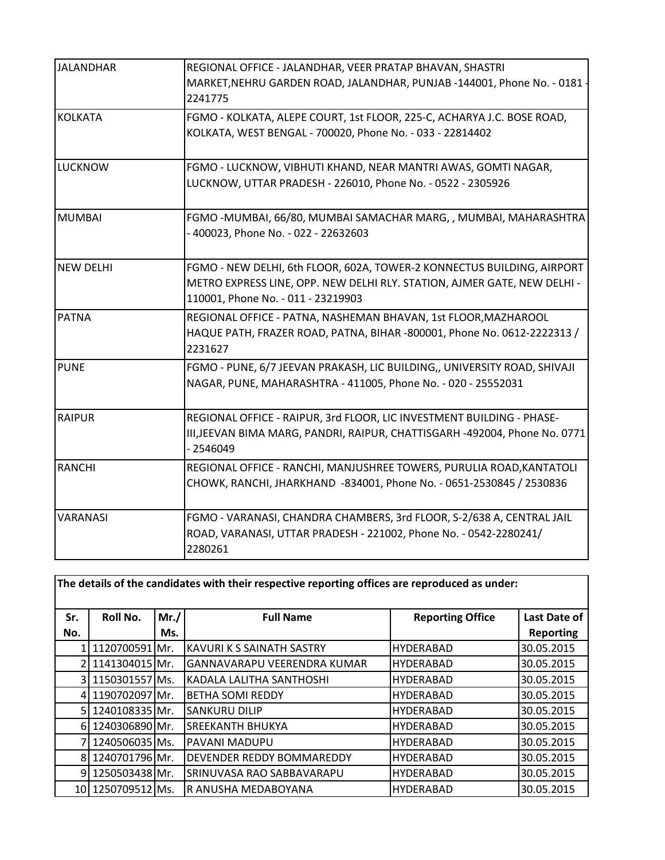| <b>JALANDHAR</b> | REGIONAL OFFICE - JALANDHAR, VEER PRATAP BHAVAN, SHASTRI                   |
|------------------|----------------------------------------------------------------------------|
|                  | MARKET, NEHRU GARDEN ROAD, JALANDHAR, PUNJAB -144001, Phone No. - 0181     |
|                  | 2241775                                                                    |
| <b>KOLKATA</b>   | FGMO - KOLKATA, ALEPE COURT, 1st FLOOR, 225-C, ACHARYA J.C. BOSE ROAD,     |
|                  | KOLKATA, WEST BENGAL - 700020, Phone No. - 033 - 22814402                  |
|                  |                                                                            |
| <b>LUCKNOW</b>   | FGMO - LUCKNOW, VIBHUTI KHAND, NEAR MANTRI AWAS, GOMTI NAGAR,              |
|                  | LUCKNOW, UTTAR PRADESH - 226010, Phone No. - 0522 - 2305926                |
|                  |                                                                            |
| <b>MUMBAI</b>    | FGMO-MUMBAI, 66/80, MUMBAI SAMACHAR MARG, , MUMBAI, MAHARASHTRA            |
|                  | - 400023, Phone No. - 022 - 22632603                                       |
|                  |                                                                            |
| <b>NEW DELHI</b> | FGMO - NEW DELHI, 6th FLOOR, 602A, TOWER-2 KONNECTUS BUILDING, AIRPORT     |
|                  | METRO EXPRESS LINE, OPP. NEW DELHI RLY. STATION, AJMER GATE, NEW DELHI -   |
|                  | 110001, Phone No. - 011 - 23219903                                         |
| <b>PATNA</b>     | REGIONAL OFFICE - PATNA, NASHEMAN BHAVAN, 1st FLOOR, MAZHAROOL             |
|                  | HAQUE PATH, FRAZER ROAD, PATNA, BIHAR -800001, Phone No. 0612-2222313 /    |
|                  | 2231627                                                                    |
| <b>PUNE</b>      | FGMO - PUNE, 6/7 JEEVAN PRAKASH, LIC BUILDING,, UNIVERSITY ROAD, SHIVAJI   |
|                  | NAGAR, PUNE, MAHARASHTRA - 411005, Phone No. - 020 - 25552031              |
|                  |                                                                            |
| <b>RAIPUR</b>    | REGIONAL OFFICE - RAIPUR, 3rd FLOOR, LIC INVESTMENT BUILDING - PHASE-      |
|                  | III, JEEVAN BIMA MARG, PANDRI, RAIPUR, CHATTISGARH -492004, Phone No. 0771 |
|                  | $-2546049$                                                                 |
| <b>RANCHI</b>    | REGIONAL OFFICE - RANCHI, MANJUSHREE TOWERS, PURULIA ROAD, KANTATOLI       |
|                  | CHOWK, RANCHI, JHARKHAND -834001, Phone No. - 0651-2530845 / 2530836       |
|                  |                                                                            |
| VARANASI         | FGMO - VARANASI, CHANDRA CHAMBERS, 3rd FLOOR, S-2/638 A, CENTRAL JAIL      |
|                  | ROAD, VARANASI, UTTAR PRADESH - 221002, Phone No. - 0542-2280241/          |
|                  | 2280261                                                                    |

| The details of the candidates with their respective reporting offices are reproduced as under: |                   |       |                                    |                         |                     |
|------------------------------------------------------------------------------------------------|-------------------|-------|------------------------------------|-------------------------|---------------------|
| Sr.                                                                                            | Roll No.          | Mr. / | <b>Full Name</b>                   | <b>Reporting Office</b> | <b>Last Date of</b> |
| No.                                                                                            |                   | Ms.   |                                    |                         | <b>Reporting</b>    |
|                                                                                                | 1120700591 Mr.    |       | <b>KAVURI K S SAINATH SASTRY</b>   | <b>HYDERABAD</b>        | 30.05.2015          |
|                                                                                                | 1141304015 Mr.    |       | <b>GANNAVARAPU VEERENDRA KUMAR</b> | <b>HYDERABAD</b>        | 30.05.2015          |
|                                                                                                | 3 1150301557 Ms.  |       | KADALA LALITHA SANTHOSHI           | <b>HYDERABAD</b>        | 30.05.2015          |
|                                                                                                | 4 1190702097 Mr.  |       | <b>BETHA SOMI REDDY</b>            | <b>HYDERABAD</b>        | 30.05.2015          |
|                                                                                                | 5 1240108335 Mr.  |       | <b>SANKURU DILIP</b>               | <b>HYDERABAD</b>        | 30.05.2015          |
|                                                                                                | 6 1240306890 Mr.  |       | <b>SREEKANTH BHUKYA</b>            | <b>HYDERABAD</b>        | 30.05.2015          |
|                                                                                                | 1240506035 Ms.    |       | PAVANI MADUPU                      | <b>HYDERABAD</b>        | 30.05.2015          |
|                                                                                                | 8 1240701796 Mr.  |       | <b>DEVENDER REDDY BOMMAREDDY</b>   | <b>HYDERABAD</b>        | 30.05.2015          |
|                                                                                                | 9 1250503438 Mr.  |       | SRINUVASA RAO SABBAVARAPU          | <b>HYDERABAD</b>        | 30.05.2015          |
|                                                                                                | 10 1250709512 Ms. |       | IR ANUSHA MEDABOYANA               | <b>HYDERABAD</b>        | 30.05.2015          |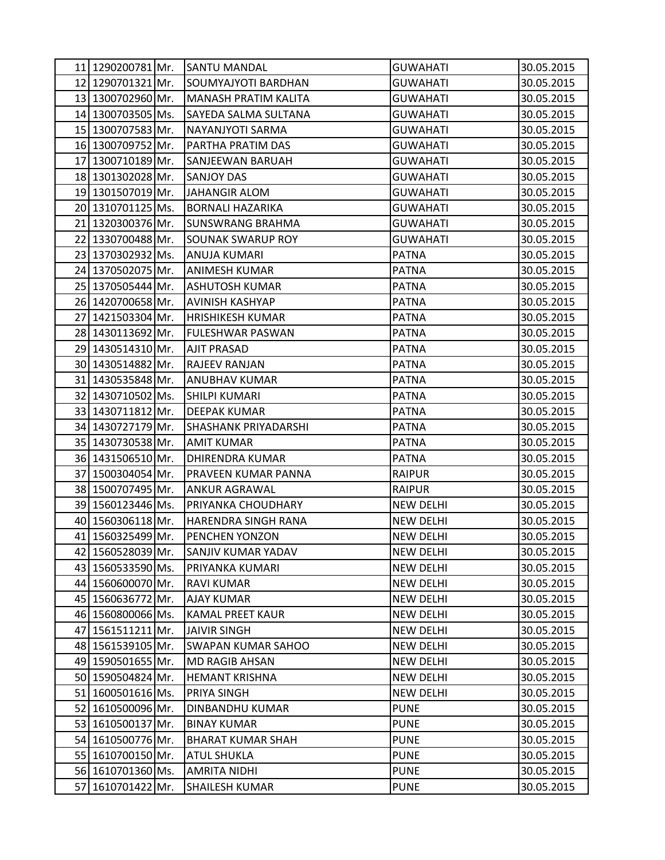|    | 11 1290200781 Mr. | <b>SANTU MANDAL</b>         | <b>GUWAHATI</b>  | 30.05.2015 |
|----|-------------------|-----------------------------|------------------|------------|
|    | 12 1290701321 Mr. | <b>SOUMYAJYOTI BARDHAN</b>  | <b>GUWAHATI</b>  | 30.05.2015 |
|    | 13 1300702960 Mr. | <b>MANASH PRATIM KALITA</b> | <b>GUWAHATI</b>  | 30.05.2015 |
|    | 14 1300703505 Ms. | SAYEDA SALMA SULTANA        | <b>GUWAHATI</b>  | 30.05.2015 |
|    | 15 1300707583 Mr. | NAYANJYOTI SARMA            | <b>GUWAHATI</b>  | 30.05.2015 |
|    | 16 1300709752 Mr. | PARTHA PRATIM DAS           | <b>GUWAHATI</b>  | 30.05.2015 |
| 17 | 1300710189 Mr.    | <b>SANJEEWAN BARUAH</b>     | <b>GUWAHATI</b>  | 30.05.2015 |
|    | 18 1301302028 Mr. | <b>SANJOY DAS</b>           | <b>GUWAHATI</b>  | 30.05.2015 |
|    | 19 1301507019 Mr. | <b>JAHANGIR ALOM</b>        | <b>GUWAHATI</b>  | 30.05.2015 |
|    | 20 1310701125 Ms. | <b>BORNALI HAZARIKA</b>     | <b>GUWAHATI</b>  | 30.05.2015 |
| 21 | 1320300376 Mr.    | <b>SUNSWRANG BRAHMA</b>     | <b>GUWAHATI</b>  | 30.05.2015 |
|    | 22 1330700488 Mr. | <b>SOUNAK SWARUP ROY</b>    | <b>GUWAHATI</b>  | 30.05.2015 |
|    | 23 1370302932 Ms. | ANUJA KUMARI                | <b>PATNA</b>     | 30.05.2015 |
|    | 24 1370502075 Mr. | <b>ANIMESH KUMAR</b>        | <b>PATNA</b>     | 30.05.2015 |
|    | 25 1370505444 Mr. | <b>ASHUTOSH KUMAR</b>       | <b>PATNA</b>     | 30.05.2015 |
|    | 26 1420700658 Mr. | <b>AVINISH KASHYAP</b>      | <b>PATNA</b>     | 30.05.2015 |
| 27 | 1421503304 Mr.    | <b>HRISHIKESH KUMAR</b>     | <b>PATNA</b>     | 30.05.2015 |
|    | 28 1430113692 Mr. | <b>FULESHWAR PASWAN</b>     | <b>PATNA</b>     | 30.05.2015 |
|    | 29 1430514310 Mr. | <b>AJIT PRASAD</b>          | <b>PATNA</b>     | 30.05.2015 |
|    | 30 1430514882 Mr. | <b>RAJEEV RANJAN</b>        | <b>PATNA</b>     | 30.05.2015 |
| 31 | 1430535848 Mr.    | <b>ANUBHAV KUMAR</b>        | <b>PATNA</b>     | 30.05.2015 |
|    | 32 1430710502 Ms. | <b>SHILPI KUMARI</b>        | <b>PATNA</b>     | 30.05.2015 |
|    | 33 1430711812 Mr. | <b>DEEPAK KUMAR</b>         | <b>PATNA</b>     | 30.05.2015 |
|    | 34 1430727179 Mr. | <b>SHASHANK PRIYADARSHI</b> | <b>PATNA</b>     | 30.05.2015 |
| 35 | 1430730538 Mr.    | <b>AMIT KUMAR</b>           | <b>PATNA</b>     | 30.05.2015 |
|    | 36 1431506510 Mr. | <b>DHIRENDRA KUMAR</b>      | <b>PATNA</b>     | 30.05.2015 |
| 37 | 1500304054 Mr.    | PRAVEEN KUMAR PANNA         | <b>RAIPUR</b>    | 30.05.2015 |
|    | 38 1500707495 Mr. | <b>ANKUR AGRAWAL</b>        | <b>RAIPUR</b>    | 30.05.2015 |
|    | 39 1560123446 Ms. | PRIYANKA CHOUDHARY          | <b>NEW DELHI</b> | 30.05.2015 |
|    | 40 1560306118 Mr. | HARENDRA SINGH RANA         | <b>NEW DELHI</b> | 30.05.2015 |
| 41 | 1560325499 Mr.    | PENCHEN YONZON              | <b>NEW DELHI</b> | 30.05.2015 |
|    | 42 1560528039 Mr. | SANJIV KUMAR YADAV          | <b>NEW DELHI</b> | 30.05.2015 |
|    | 43 1560533590 Ms. | PRIYANKA KUMARI             | <b>NEW DELHI</b> | 30.05.2015 |
|    | 44 1560600070 Mr. | <b>RAVI KUMAR</b>           | <b>NEW DELHI</b> | 30.05.2015 |
|    | 45 1560636772 Mr. | <b>AJAY KUMAR</b>           | <b>NEW DELHI</b> | 30.05.2015 |
|    | 46 1560800066 Ms. | <b>KAMAL PREET KAUR</b>     | <b>NEW DELHI</b> | 30.05.2015 |
|    | 47 1561511211 Mr. | <b>JAIVIR SINGH</b>         | <b>NEW DELHI</b> | 30.05.2015 |
|    | 48 1561539105 Mr. | <b>SWAPAN KUMAR SAHOO</b>   | <b>NEW DELHI</b> | 30.05.2015 |
|    | 49 1590501655 Mr. | <b>MD RAGIB AHSAN</b>       | <b>NEW DELHI</b> | 30.05.2015 |
|    | 50 1590504824 Mr. | <b>HEMANT KRISHNA</b>       | <b>NEW DELHI</b> | 30.05.2015 |
| 51 | 1600501616 Ms.    | PRIYA SINGH                 | <b>NEW DELHI</b> | 30.05.2015 |
|    | 52 1610500096 Mr. | DINBANDHU KUMAR             | <b>PUNE</b>      | 30.05.2015 |
|    | 53 1610500137 Mr. | <b>BINAY KUMAR</b>          | <b>PUNE</b>      | 30.05.2015 |
|    | 54 1610500776 Mr. | <b>BHARAT KUMAR SHAH</b>    | <b>PUNE</b>      | 30.05.2015 |
|    | 55 1610700150 Mr. | <b>ATUL SHUKLA</b>          | <b>PUNE</b>      | 30.05.2015 |
|    | 56 1610701360 Ms. | AMRITA NIDHI                | <b>PUNE</b>      | 30.05.2015 |
| 57 | 1610701422 Mr.    | <b>SHAILESH KUMAR</b>       | <b>PUNE</b>      | 30.05.2015 |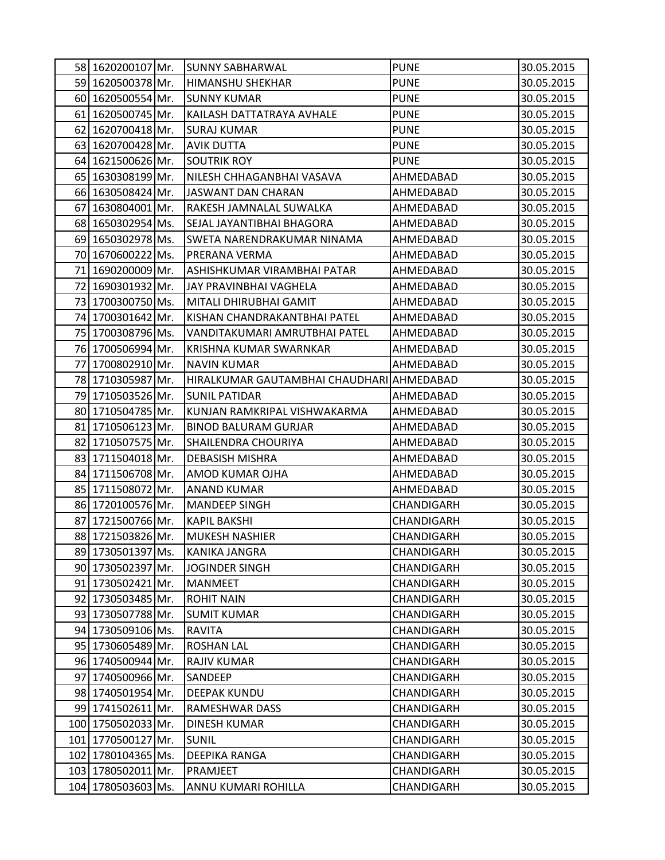|    | 58 1620200107 Mr.  | <b>SUNNY SABHARWAL</b>                    | <b>PUNE</b> | 30.05.2015 |
|----|--------------------|-------------------------------------------|-------------|------------|
|    | 59 1620500378 Mr.  | <b>HIMANSHU SHEKHAR</b>                   | <b>PUNE</b> | 30.05.2015 |
|    | 60 1620500554 Mr.  | <b>SUNNY KUMAR</b>                        | <b>PUNE</b> | 30.05.2015 |
| 61 | 1620500745 Mr.     | KAILASH DATTATRAYA AVHALE                 | <b>PUNE</b> | 30.05.2015 |
| 62 | 1620700418 Mr.     | <b>SURAJ KUMAR</b>                        | <b>PUNE</b> | 30.05.2015 |
|    | 63 1620700428 Mr.  | <b>AVIK DUTTA</b>                         | <b>PUNE</b> | 30.05.2015 |
|    | 64 1621500626 Mr.  | <b>SOUTRIK ROY</b>                        | <b>PUNE</b> | 30.05.2015 |
|    | 65 1630308199 Mr.  | NILESH CHHAGANBHAI VASAVA                 | AHMEDABAD   | 30.05.2015 |
|    | 66 1630508424 Mr.  | JASWANT DAN CHARAN                        | AHMEDABAD   | 30.05.2015 |
| 67 | 1630804001 Mr.     | RAKESH JAMNALAL SUWALKA                   | AHMEDABAD   | 30.05.2015 |
|    | 68 1650302954 Ms.  | SEJAL JAYANTIBHAI BHAGORA                 | AHMEDABAD   | 30.05.2015 |
|    | 69 1650302978 Ms.  | SWETA NARENDRAKUMAR NINAMA                | AHMEDABAD   | 30.05.2015 |
|    | 70 1670600222 Ms.  | PRERANA VERMA                             | AHMEDABAD   | 30.05.2015 |
| 71 | 1690200009 Mr.     | ASHISHKUMAR VIRAMBHAI PATAR               | AHMEDABAD   | 30.05.2015 |
| 72 | 1690301932 Mr.     | JAY PRAVINBHAI VAGHELA                    | AHMEDABAD   | 30.05.2015 |
|    | 73 1700300750 Ms.  | MITALI DHIRUBHAI GAMIT                    | AHMEDABAD   | 30.05.2015 |
|    | 74 1700301642 Mr.  | KISHAN CHANDRAKANTBHAI PATEL              | AHMEDABAD   | 30.05.2015 |
|    | 75 1700308796 Ms.  | VANDITAKUMARI AMRUTBHAI PATEL             | AHMEDABAD   | 30.05.2015 |
|    | 76 1700506994 Mr.  | KRISHNA KUMAR SWARNKAR                    | AHMEDABAD   | 30.05.2015 |
| 77 | 1700802910 Mr.     | <b>NAVIN KUMAR</b>                        | AHMEDABAD   | 30.05.2015 |
|    | 78 1710305987 Mr.  | HIRALKUMAR GAUTAMBHAI CHAUDHARI AHMEDABAD |             | 30.05.2015 |
|    | 79 1710503526 Mr.  | <b>SUNIL PATIDAR</b>                      | AHMEDABAD   | 30.05.2015 |
|    | 80 1710504785 Mr.  | KUNJAN RAMKRIPAL VISHWAKARMA              | AHMEDABAD   | 30.05.2015 |
| 81 | 1710506123 Mr.     | <b>BINOD BALURAM GURJAR</b>               | AHMEDABAD   | 30.05.2015 |
| 82 | 1710507575 Mr.     | SHAILENDRA CHOURIYA                       | AHMEDABAD   | 30.05.2015 |
|    | 83 1711504018 Mr.  | <b>DEBASISH MISHRA</b>                    | AHMEDABAD   | 30.05.2015 |
|    | 84 1711506708 Mr.  | AMOD KUMAR OJHA                           | AHMEDABAD   | 30.05.2015 |
|    | 85 1711508072 Mr.  | <b>ANAND KUMAR</b>                        | AHMEDABAD   | 30.05.2015 |
|    | 86 1720100576 Mr.  | <b>MANDEEP SINGH</b>                      | CHANDIGARH  | 30.05.2015 |
| 87 | 1721500766 Mr.     | <b>KAPIL BAKSHI</b>                       | CHANDIGARH  | 30.05.2015 |
|    | 88 1721503826 Mr.  | <b>MUKESH NASHIER</b>                     | CHANDIGARH  | 30.05.2015 |
|    | 89 1730501397 Ms.  | <b>KANIKA JANGRA</b>                      | CHANDIGARH  | 30.05.2015 |
|    | 90 1730502397 Mr.  | JOGINDER SINGH                            | CHANDIGARH  | 30.05.2015 |
|    | 91 1730502421 Mr.  | <b>MANMEET</b>                            | CHANDIGARH  | 30.05.2015 |
|    | 92 1730503485 Mr.  | <b>ROHIT NAIN</b>                         | CHANDIGARH  | 30.05.2015 |
|    | 93 1730507788 Mr.  | <b>SUMIT KUMAR</b>                        | CHANDIGARH  | 30.05.2015 |
| 94 | 1730509106 Ms.     | <b>RAVITA</b>                             | CHANDIGARH  | 30.05.2015 |
|    | 95 1730605489 Mr.  | <b>ROSHAN LAL</b>                         | CHANDIGARH  | 30.05.2015 |
|    | 96 1740500944 Mr.  | <b>RAJIV KUMAR</b>                        | CHANDIGARH  | 30.05.2015 |
| 97 | 1740500966 Mr.     | SANDEEP                                   | CHANDIGARH  | 30.05.2015 |
|    | 98 1740501954 Mr.  | <b>DEEPAK KUNDU</b>                       | CHANDIGARH  | 30.05.2015 |
|    | 99 1741502611 Mr.  | <b>RAMESHWAR DASS</b>                     | CHANDIGARH  | 30.05.2015 |
|    | 100 1750502033 Mr. | <b>DINESH KUMAR</b>                       | CHANDIGARH  | 30.05.2015 |
|    | 101 1770500127 Mr. | <b>SUNIL</b>                              | CHANDIGARH  | 30.05.2015 |
|    | 102 1780104365 Ms. | DEEPIKA RANGA                             | CHANDIGARH  | 30.05.2015 |
|    | 103 1780502011 Mr. | PRAMJEET                                  | CHANDIGARH  | 30.05.2015 |
|    | 104 1780503603 Ms. | ANNU KUMARI ROHILLA                       | CHANDIGARH  | 30.05.2015 |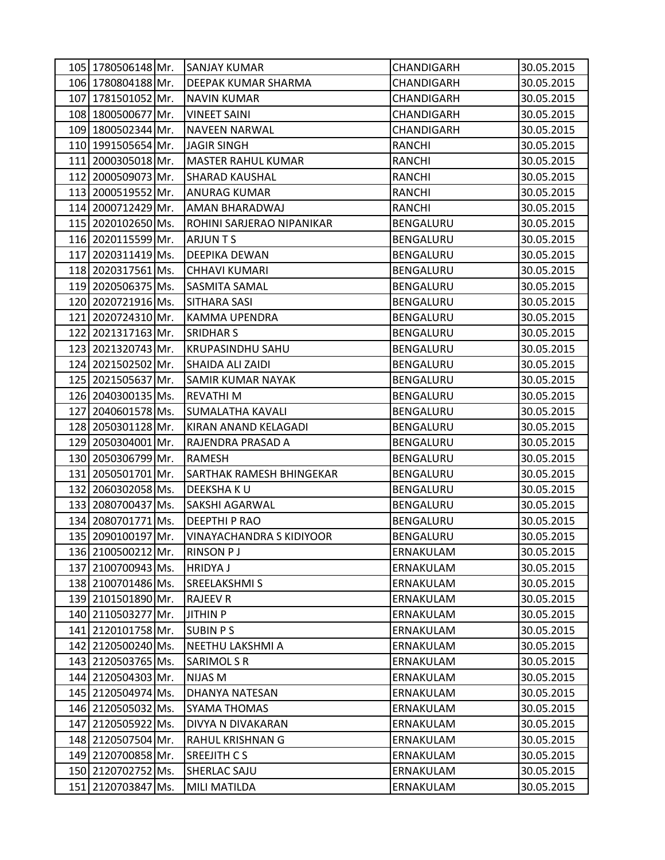|                    | 105 1780506148 Mr. SANJAY KUMAR | CHANDIGARH    | 30.05.2015 |
|--------------------|---------------------------------|---------------|------------|
| 106 1780804188 Mr. | DEEPAK KUMAR SHARMA             | CHANDIGARH    | 30.05.2015 |
| 107 1781501052 Mr. | <b>NAVIN KUMAR</b>              | CHANDIGARH    | 30.05.2015 |
| 108 1800500677 Mr. | <b>VINEET SAINI</b>             | CHANDIGARH    | 30.05.2015 |
| 109 1800502344 Mr. | <b>NAVEEN NARWAL</b>            | CHANDIGARH    | 30.05.2015 |
| 110 1991505654 Mr. | <b>JAGIR SINGH</b>              | <b>RANCHI</b> | 30.05.2015 |
| 111 2000305018 Mr. | <b>MASTER RAHUL KUMAR</b>       | <b>RANCHI</b> | 30.05.2015 |
| 112 2000509073 Mr. | <b>SHARAD KAUSHAL</b>           | <b>RANCHI</b> | 30.05.2015 |
| 113 2000519552 Mr. | <b>ANURAG KUMAR</b>             | <b>RANCHI</b> | 30.05.2015 |
| 114 2000712429 Mr. | AMAN BHARADWAJ                  | <b>RANCHI</b> | 30.05.2015 |
| 115 2020102650 Ms. | ROHINI SARJERAO NIPANIKAR       | BENGALURU     | 30.05.2015 |
| 116 2020115599 Mr. | <b>ARJUNTS</b>                  | BENGALURU     | 30.05.2015 |
| 117 2020311419 Ms. | DEEPIKA DEWAN                   | BENGALURU     | 30.05.2015 |
| 118 2020317561 Ms. | <b>CHHAVI KUMARI</b>            | BENGALURU     | 30.05.2015 |
| 119 2020506375 Ms. | <b>SASMITA SAMAL</b>            | BENGALURU     | 30.05.2015 |
| 120 2020721916 Ms. | <b>SITHARA SASI</b>             | BENGALURU     | 30.05.2015 |
| 121 2020724310 Mr. | <b>KAMMA UPENDRA</b>            | BENGALURU     | 30.05.2015 |
| 122 2021317163 Mr. | <b>SRIDHAR S</b>                | BENGALURU     | 30.05.2015 |
| 123 2021320743 Mr. | <b>KRUPASINDHU SAHU</b>         | BENGALURU     | 30.05.2015 |
| 124 2021502502 Mr. | SHAIDA ALI ZAIDI                | BENGALURU     | 30.05.2015 |
| 125 2021505637 Mr. | <b>SAMIR KUMAR NAYAK</b>        | BENGALURU     | 30.05.2015 |
| 126 2040300135 Ms. | <b>REVATHIM</b>                 | BENGALURU     | 30.05.2015 |
| 127 2040601578 Ms. | <b>SUMALATHA KAVALI</b>         | BENGALURU     | 30.05.2015 |
| 128 2050301128 Mr. | KIRAN ANAND KELAGADI            | BENGALURU     | 30.05.2015 |
| 129 2050304001 Mr. | RAJENDRA PRASAD A               | BENGALURU     | 30.05.2015 |
| 130 2050306799 Mr. | RAMESH                          | BENGALURU     | 30.05.2015 |
| 131 2050501701 Mr. | <b>SARTHAK RAMESH BHINGEKAR</b> | BENGALURU     | 30.05.2015 |
| 132 2060302058 Ms. | <b>DEEKSHAKU</b>                | BENGALURU     | 30.05.2015 |
| 133 2080700437 Ms. | SAKSHI AGARWAL                  | BENGALURU     | 30.05.2015 |
| 134 2080701771 Ms. | <b>DEEPTHI P RAO</b>            | BENGALURU     | 30.05.2015 |
| 135 2090100197 Mr. | <b>VINAYACHANDRA S KIDIYOOR</b> | BENGALURU     | 30.05.2015 |
| 136 2100500212 Mr. | <b>RINSON PJ</b>                | ERNAKULAM     | 30.05.2015 |
| 137 2100700943 Ms. | <b>HRIDYAJ</b>                  | ERNAKULAM     | 30.05.2015 |
| 138 2100701486 Ms. | <b>SREELAKSHMI S</b>            | ERNAKULAM     | 30.05.2015 |
| 139 2101501890 Mr. | <b>RAJEEV R</b>                 | ERNAKULAM     | 30.05.2015 |
| 140 2110503277 Mr. | <b>JITHIN P</b>                 | ERNAKULAM     | 30.05.2015 |
| 141 2120101758 Mr. | <b>SUBIN PS</b>                 | ERNAKULAM     | 30.05.2015 |
| 142 2120500240 Ms. | NEETHU LAKSHMI A                | ERNAKULAM     | 30.05.2015 |
| 143 2120503765 Ms. | <b>SARIMOLSR</b>                | ERNAKULAM     | 30.05.2015 |
| 144 2120504303 Mr. | <b>NIJAS M</b>                  | ERNAKULAM     | 30.05.2015 |
| 145 2120504974 Ms. | DHANYA NATESAN                  | ERNAKULAM     | 30.05.2015 |
| 146 2120505032 Ms. | <b>SYAMA THOMAS</b>             | ERNAKULAM     | 30.05.2015 |
| 147 2120505922 Ms. | DIVYA N DIVAKARAN               | ERNAKULAM     | 30.05.2015 |
| 148 2120507504 Mr. | RAHUL KRISHNAN G                | ERNAKULAM     | 30.05.2015 |
| 149 2120700858 Mr. | SREEJITH C S                    | ERNAKULAM     | 30.05.2015 |
| 150 2120702752 Ms. | <b>SHERLAC SAJU</b>             | ERNAKULAM     | 30.05.2015 |
| 151 2120703847 Ms. | MILI MATILDA                    | ERNAKULAM     | 30.05.2015 |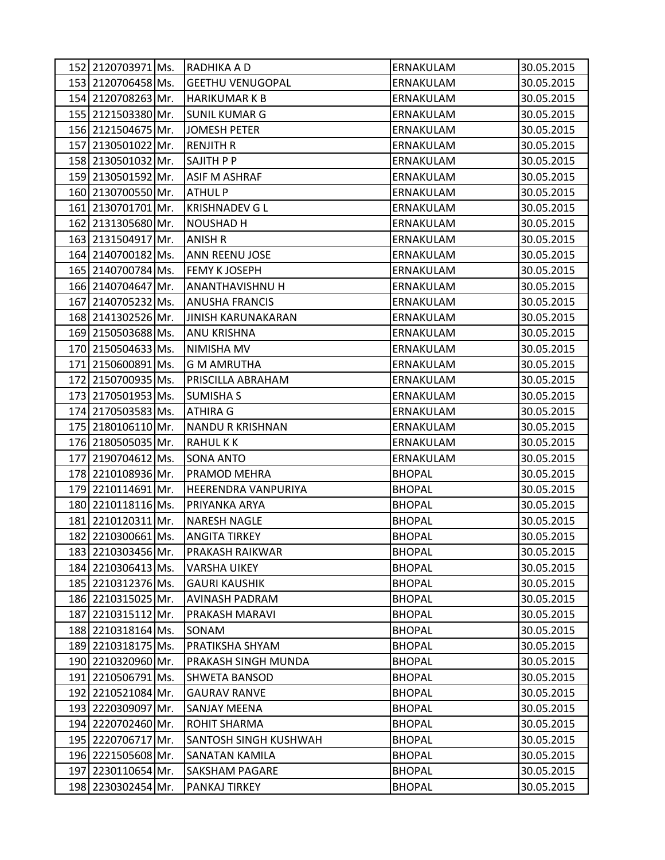| 152 2120703971 Ms. | RADHIKA A D                  | ERNAKULAM     | 30.05.2015 |
|--------------------|------------------------------|---------------|------------|
| 153 2120706458 Ms. | <b>GEETHU VENUGOPAL</b>      | ERNAKULAM     | 30.05.2015 |
| 154 2120708263 Mr. | <b>HARIKUMARKB</b>           | ERNAKULAM     | 30.05.2015 |
| 155 2121503380 Mr. | <b>SUNIL KUMAR G</b>         | ERNAKULAM     | 30.05.2015 |
| 156 2121504675 Mr. | <b>JOMESH PETER</b>          | ERNAKULAM     | 30.05.2015 |
| 157 2130501022 Mr. | <b>RENJITH R</b>             | ERNAKULAM     | 30.05.2015 |
| 158 2130501032 Mr. | SAJITH P P                   | ERNAKULAM     | 30.05.2015 |
| 159 2130501592 Mr. | <b>ASIF M ASHRAF</b>         | ERNAKULAM     | 30.05.2015 |
| 160 2130700550 Mr. | <b>ATHUL P</b>               | ERNAKULAM     | 30.05.2015 |
| 161 2130701701 Mr. | <b>KRISHNADEV G L</b>        | ERNAKULAM     | 30.05.2015 |
| 162 2131305680 Mr. | <b>NOUSHAD H</b>             | ERNAKULAM     | 30.05.2015 |
| 163 2131504917 Mr. | <b>ANISH R</b>               | ERNAKULAM     | 30.05.2015 |
| 164 2140700182 Ms. | <b>ANN REENU JOSE</b>        | ERNAKULAM     | 30.05.2015 |
| 165 2140700784 Ms. | <b>FEMY K JOSEPH</b>         | ERNAKULAM     | 30.05.2015 |
| 166 2140704647 Mr. | <b>ANANTHAVISHNU H</b>       | ERNAKULAM     | 30.05.2015 |
| 167 2140705232 Ms. | <b>ANUSHA FRANCIS</b>        | ERNAKULAM     | 30.05.2015 |
| 168 2141302526 Mr. | <b>JINISH KARUNAKARAN</b>    | ERNAKULAM     | 30.05.2015 |
| 169 2150503688 Ms. | ANU KRISHNA                  | ERNAKULAM     | 30.05.2015 |
| 170 2150504633 Ms. | NIMISHA MV                   | ERNAKULAM     | 30.05.2015 |
| 171 2150600891 Ms. | <b>G M AMRUTHA</b>           | ERNAKULAM     | 30.05.2015 |
| 172 2150700935 Ms. | <b>PRISCILLA ABRAHAM</b>     | ERNAKULAM     | 30.05.2015 |
| 173 2170501953 Ms. | <b>SUMISHA S</b>             | ERNAKULAM     | 30.05.2015 |
| 174 2170503583 Ms. | <b>ATHIRA G</b>              | ERNAKULAM     | 30.05.2015 |
| 175 2180106110 Mr. | <b>NANDU R KRISHNAN</b>      | ERNAKULAM     | 30.05.2015 |
| 176 2180505035 Mr. | <b>RAHULKK</b>               | ERNAKULAM     | 30.05.2015 |
| 177 2190704612 Ms. | <b>SONA ANTO</b>             | ERNAKULAM     | 30.05.2015 |
| 178 2210108936 Mr. | <b>PRAMOD MEHRA</b>          | <b>BHOPAL</b> | 30.05.2015 |
| 179 2210114691 Mr. | <b>HEERENDRA VANPURIYA</b>   | <b>BHOPAL</b> | 30.05.2015 |
| 180 2210118116 Ms. | PRIYANKA ARYA                | <b>BHOPAL</b> | 30.05.2015 |
| 181 2210120311 Mr. | <b>NARESH NAGLE</b>          | <b>BHOPAL</b> | 30.05.2015 |
| 182 2210300661 Ms. | <b>ANGITA TIRKEY</b>         | <b>BHOPAL</b> | 30.05.2015 |
| 183 2210303456 Mr. | <b>PRAKASH RAIKWAR</b>       | <b>BHOPAL</b> | 30.05.2015 |
| 184 2210306413 Ms. | <b>VARSHA UIKEY</b>          | <b>BHOPAL</b> | 30.05.2015 |
| 185 2210312376 Ms. | <b>GAURI KAUSHIK</b>         | <b>BHOPAL</b> | 30.05.2015 |
| 186 2210315025 Mr. | AVINASH PADRAM               | <b>BHOPAL</b> | 30.05.2015 |
| 187 2210315112 Mr. | PRAKASH MARAVI               | <b>BHOPAL</b> | 30.05.2015 |
| 188 2210318164 Ms. | SONAM                        | <b>BHOPAL</b> | 30.05.2015 |
| 189 2210318175 Ms. | PRATIKSHA SHYAM              | <b>BHOPAL</b> | 30.05.2015 |
| 190 2210320960 Mr. | PRAKASH SINGH MUNDA          | <b>BHOPAL</b> | 30.05.2015 |
| 191 2210506791 Ms. | <b>SHWETA BANSOD</b>         | <b>BHOPAL</b> | 30.05.2015 |
| 192 2210521084 Mr. | <b>GAURAV RANVE</b>          | <b>BHOPAL</b> | 30.05.2015 |
| 193 2220309097 Mr. | <b>SANJAY MEENA</b>          | <b>BHOPAL</b> | 30.05.2015 |
| 194 2220702460 Mr. | <b>ROHIT SHARMA</b>          | <b>BHOPAL</b> | 30.05.2015 |
| 195 2220706717 Mr. | <b>SANTOSH SINGH KUSHWAH</b> | <b>BHOPAL</b> | 30.05.2015 |
| 196 2221505608 Mr. | SANATAN KAMILA               | <b>BHOPAL</b> | 30.05.2015 |
| 197 2230110654 Mr. | <b>SAKSHAM PAGARE</b>        | <b>BHOPAL</b> | 30.05.2015 |
| 198 2230302454 Mr. | PANKAJ TIRKEY                | <b>BHOPAL</b> | 30.05.2015 |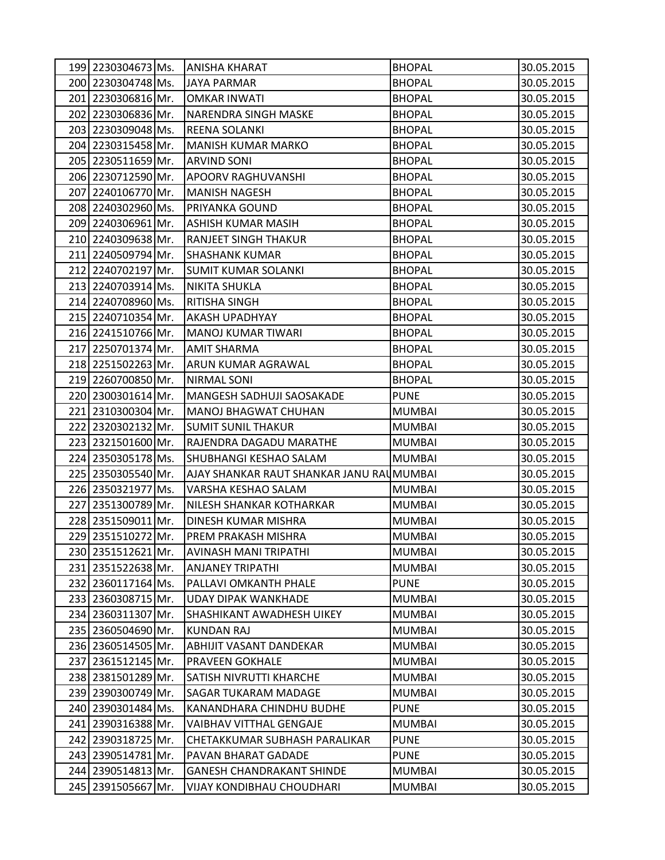|                    | 199 2230304673 Ms. ANISHA KHARAT         | <b>BHOPAL</b> | 30.05.2015 |
|--------------------|------------------------------------------|---------------|------------|
| 200 2230304748 Ms. | JAYA PARMAR                              | <b>BHOPAL</b> | 30.05.2015 |
| 201 2230306816 Mr. | <b>OMKAR INWATI</b>                      | <b>BHOPAL</b> | 30.05.2015 |
| 202 2230306836 Mr. | <b>NARENDRA SINGH MASKE</b>              | <b>BHOPAL</b> | 30.05.2015 |
| 203 2230309048 Ms. | <b>REENA SOLANKI</b>                     | <b>BHOPAL</b> | 30.05.2015 |
| 204 2230315458 Mr. | <b>MANISH KUMAR MARKO</b>                | <b>BHOPAL</b> | 30.05.2015 |
| 205 2230511659 Mr. | <b>ARVIND SONI</b>                       | <b>BHOPAL</b> | 30.05.2015 |
| 206 2230712590 Mr. | <b>APOORV RAGHUVANSHI</b>                | <b>BHOPAL</b> | 30.05.2015 |
| 207 2240106770 Mr. | <b>MANISH NAGESH</b>                     | <b>BHOPAL</b> | 30.05.2015 |
| 208 2240302960 Ms. | PRIYANKA GOUND                           | <b>BHOPAL</b> | 30.05.2015 |
| 209 2240306961 Mr. | <b>ASHISH KUMAR MASIH</b>                | <b>BHOPAL</b> | 30.05.2015 |
| 210 2240309638 Mr. | RANJEET SINGH THAKUR                     | <b>BHOPAL</b> | 30.05.2015 |
| 211 2240509794 Mr. | <b>SHASHANK KUMAR</b>                    | <b>BHOPAL</b> | 30.05.2015 |
| 212 2240702197 Mr. | <b>SUMIT KUMAR SOLANKI</b>               | <b>BHOPAL</b> | 30.05.2015 |
| 213 2240703914 Ms. | <b>NIKITA SHUKLA</b>                     | <b>BHOPAL</b> | 30.05.2015 |
| 214 2240708960 Ms. | <b>RITISHA SINGH</b>                     | <b>BHOPAL</b> | 30.05.2015 |
| 215 2240710354 Mr. | <b>AKASH UPADHYAY</b>                    | <b>BHOPAL</b> | 30.05.2015 |
| 216 2241510766 Mr. | <b>MANOJ KUMAR TIWARI</b>                | <b>BHOPAL</b> | 30.05.2015 |
| 217 2250701374 Mr. | <b>AMIT SHARMA</b>                       | <b>BHOPAL</b> | 30.05.2015 |
| 218 2251502263 Mr. | ARUN KUMAR AGRAWAL                       | <b>BHOPAL</b> | 30.05.2015 |
| 219 2260700850 Mr. | NIRMAL SONI                              | <b>BHOPAL</b> | 30.05.2015 |
| 220 2300301614 Mr. | MANGESH SADHUJI SAOSAKADE                | <b>PUNE</b>   | 30.05.2015 |
| 221 2310300304 Mr. | <b>MANOJ BHAGWAT CHUHAN</b>              | <b>MUMBAI</b> | 30.05.2015 |
| 222 2320302132 Mr. | <b>SUMIT SUNIL THAKUR</b>                | <b>MUMBAI</b> | 30.05.2015 |
| 223 2321501600 Mr. | RAJENDRA DAGADU MARATHE                  | <b>MUMBAI</b> | 30.05.2015 |
| 224 2350305178 Ms. | <b>SHUBHANGI KESHAO SALAM</b>            | <b>MUMBAI</b> | 30.05.2015 |
| 225 2350305540 Mr. | AJAY SHANKAR RAUT SHANKAR JANU RAUMUMBAI |               | 30.05.2015 |
| 226 2350321977 Ms. | VARSHA KESHAO SALAM                      | <b>MUMBAI</b> | 30.05.2015 |
| 227 2351300789 Mr. | <b>NILESH SHANKAR KOTHARKAR</b>          | <b>MUMBAI</b> | 30.05.2015 |
| 228 2351509011 Mr. | <b>DINESH KUMAR MISHRA</b>               | <b>MUMBAI</b> | 30.05.2015 |
| 229 2351510272 Mr. | PREM PRAKASH MISHRA                      | <b>MUMBAI</b> | 30.05.2015 |
| 230 2351512621 Mr. | <b>AVINASH MANI TRIPATHI</b>             | <b>MUMBAI</b> | 30.05.2015 |
| 231 2351522638 Mr. | <b>ANJANEY TRIPATHI</b>                  | <b>MUMBAI</b> | 30.05.2015 |
| 232 2360117164 Ms. | PALLAVI OMKANTH PHALE                    | <b>PUNE</b>   | 30.05.2015 |
| 233 2360308715 Mr. | <b>UDAY DIPAK WANKHADE</b>               | <b>MUMBAI</b> | 30.05.2015 |
| 234 2360311307 Mr. | <b>SHASHIKANT AWADHESH UIKEY</b>         | <b>MUMBAI</b> | 30.05.2015 |
| 235 2360504690 Mr. | KUNDAN RAJ                               | <b>MUMBAI</b> | 30.05.2015 |
| 236 2360514505 Mr. | ABHIJIT VASANT DANDEKAR                  | <b>MUMBAI</b> | 30.05.2015 |
| 237 2361512145 Mr. | <b>PRAVEEN GOKHALE</b>                   | <b>MUMBAI</b> | 30.05.2015 |
| 238 2381501289 Mr. | <b>SATISH NIVRUTTI KHARCHE</b>           | <b>MUMBAI</b> | 30.05.2015 |
| 239 2390300749 Mr. | <b>SAGAR TUKARAM MADAGE</b>              | <b>MUMBAI</b> | 30.05.2015 |
| 240 2390301484 Ms. | KANANDHARA CHINDHU BUDHE                 | <b>PUNE</b>   | 30.05.2015 |
| 241 2390316388 Mr. | <b>VAIBHAV VITTHAL GENGAJE</b>           | <b>MUMBAI</b> | 30.05.2015 |
| 242 2390318725 Mr. | CHETAKKUMAR SUBHASH PARALIKAR            | <b>PUNE</b>   | 30.05.2015 |
| 243 2390514781 Mr. | PAVAN BHARAT GADADE                      | <b>PUNE</b>   | 30.05.2015 |
| 244 2390514813 Mr. | <b>GANESH CHANDRAKANT SHINDE</b>         | <b>MUMBAI</b> | 30.05.2015 |
| 245 2391505667 Mr. | <b>VIJAY KONDIBHAU CHOUDHARI</b>         | <b>MUMBAI</b> | 30.05.2015 |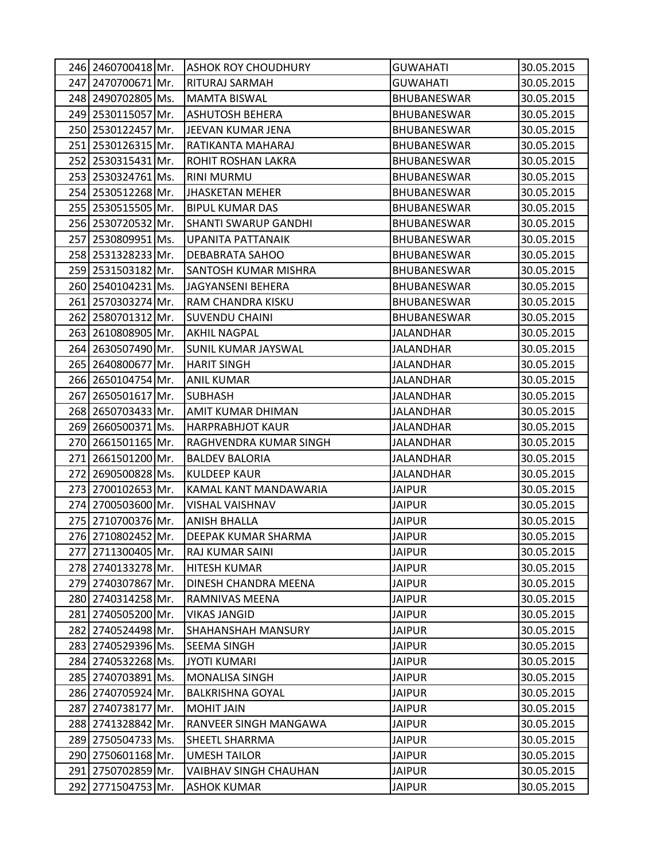| 246 2460700418 Mr.    | <b>ASHOK ROY CHOUDHURY</b>  | <b>GUWAHATI</b>    | 30.05.2015 |
|-----------------------|-----------------------------|--------------------|------------|
| 247 2470700671 Mr.    | <b>RITURAJ SARMAH</b>       | <b>GUWAHATI</b>    | 30.05.2015 |
| 248 2490702805 Ms.    | <b>MAMTA BISWAL</b>         | <b>BHUBANESWAR</b> | 30.05.2015 |
| 249 2530115057 Mr.    | <b>ASHUTOSH BEHERA</b>      | <b>BHUBANESWAR</b> | 30.05.2015 |
| 250 2530122457 Mr.    | JEEVAN KUMAR JENA           | <b>BHUBANESWAR</b> | 30.05.2015 |
| 251 2530126315 Mr.    | RATIKANTA MAHARAJ           | <b>BHUBANESWAR</b> | 30.05.2015 |
| 252 2530315431 Mr.    | <b>ROHIT ROSHAN LAKRA</b>   | <b>BHUBANESWAR</b> | 30.05.2015 |
| 253 2530324761 Ms.    | <b>RINI MURMU</b>           | <b>BHUBANESWAR</b> | 30.05.2015 |
| 254 2530512268 Mr.    | <b>JHASKETAN MEHER</b>      | <b>BHUBANESWAR</b> | 30.05.2015 |
| 255 2530515505 Mr.    | <b>BIPUL KUMAR DAS</b>      | <b>BHUBANESWAR</b> | 30.05.2015 |
| 256 2530720532 Mr.    | <b>SHANTI SWARUP GANDHI</b> | <b>BHUBANESWAR</b> | 30.05.2015 |
| 257 2530809951 Ms.    | UPANITA PATTANAIK           | BHUBANESWAR        | 30.05.2015 |
| 258 2531328233 Mr.    | <b>DEBABRATA SAHOO</b>      | <b>BHUBANESWAR</b> | 30.05.2015 |
| 259 2531503182 Mr.    | <b>SANTOSH KUMAR MISHRA</b> | <b>BHUBANESWAR</b> | 30.05.2015 |
| 260 2540104231 Ms.    | JAGYANSENI BEHERA           | <b>BHUBANESWAR</b> | 30.05.2015 |
| 261 2570303274 Mr.    | RAM CHANDRA KISKU           | <b>BHUBANESWAR</b> | 30.05.2015 |
| 262 2580701312 Mr.    | <b>SUVENDU CHAINI</b>       | <b>BHUBANESWAR</b> | 30.05.2015 |
| 263<br>2610808905 Mr. | <b>AKHIL NAGPAL</b>         | <b>JALANDHAR</b>   | 30.05.2015 |
| 264 2630507490 Mr.    | <b>SUNIL KUMAR JAYSWAL</b>  | JALANDHAR          | 30.05.2015 |
| 265 2640800677 Mr.    | <b>HARIT SINGH</b>          | JALANDHAR          | 30.05.2015 |
| 266 2650104754 Mr.    | <b>ANIL KUMAR</b>           | <b>JALANDHAR</b>   | 30.05.2015 |
| 267 2650501617 Mr.    | <b>SUBHASH</b>              | <b>JALANDHAR</b>   | 30.05.2015 |
| 268<br>2650703433 Mr. | AMIT KUMAR DHIMAN           | <b>JALANDHAR</b>   | 30.05.2015 |
| 269 2660500371 Ms.    | <b>HARPRABHJOT KAUR</b>     | <b>JALANDHAR</b>   | 30.05.2015 |
| 270 2661501165 Mr.    | RAGHVENDRA KUMAR SINGH      | <b>JALANDHAR</b>   | 30.05.2015 |
| 271 2661501200 Mr.    | <b>BALDEV BALORIA</b>       | <b>JALANDHAR</b>   | 30.05.2015 |
| 272 2690500828 Ms.    | <b>KULDEEP KAUR</b>         | <b>JALANDHAR</b>   | 30.05.2015 |
| 273<br>2700102653 Mr. | KAMAL KANT MANDAWARIA       | <b>JAIPUR</b>      | 30.05.2015 |
| 274 2700503600 Mr.    | <b>VISHAL VAISHNAV</b>      | <b>JAIPUR</b>      | 30.05.2015 |
| 275 2710700376 Mr.    | <b>ANISH BHALLA</b>         | <b>JAIPUR</b>      | 30.05.2015 |
| 276 2710802452 Mr.    | <b>DEEPAK KUMAR SHARMA</b>  | <b>JAIPUR</b>      | 30.05.2015 |
| 277 2711300405 Mr.    | <b>RAJ KUMAR SAINI</b>      | <b>JAIPUR</b>      | 30.05.2015 |
| 278 2740133278 Mr.    | <b>HITESH KUMAR</b>         | <b>JAIPUR</b>      | 30.05.2015 |
| 279 2740307867 Mr.    | DINESH CHANDRA MEENA        | <b>JAIPUR</b>      | 30.05.2015 |
| 280 2740314258 Mr.    | RAMNIVAS MEENA              | <b>JAIPUR</b>      | 30.05.2015 |
| 281 2740505200 Mr.    | <b>VIKAS JANGID</b>         | <b>JAIPUR</b>      | 30.05.2015 |
| 282 2740524498 Mr.    | <b>SHAHANSHAH MANSURY</b>   | <b>JAIPUR</b>      | 30.05.2015 |
| 283 2740529396 Ms.    | <b>SEEMA SINGH</b>          | <b>JAIPUR</b>      | 30.05.2015 |
| 284 2740532268 Ms.    | <b>JYOTI KUMARI</b>         | <b>JAIPUR</b>      | 30.05.2015 |
| 285 2740703891 Ms.    | <b>MONALISA SINGH</b>       | <b>JAIPUR</b>      | 30.05.2015 |
| 286 2740705924 Mr.    | <b>BALKRISHNA GOYAL</b>     | <b>JAIPUR</b>      | 30.05.2015 |
| 287<br>2740738177 Mr. | <b>MOHIT JAIN</b>           | <b>JAIPUR</b>      | 30.05.2015 |
| 288 2741328842 Mr.    | RANVEER SINGH MANGAWA       | <b>JAIPUR</b>      | 30.05.2015 |
| 289 2750504733 Ms.    | <b>SHEETL SHARRMA</b>       | <b>JAIPUR</b>      | 30.05.2015 |
| 290 2750601168 Mr.    | <b>UMESH TAILOR</b>         | <b>JAIPUR</b>      | 30.05.2015 |
| 291 2750702859 Mr.    | VAIBHAV SINGH CHAUHAN       | <b>JAIPUR</b>      | 30.05.2015 |
| 292 2771504753 Mr.    | <b>ASHOK KUMAR</b>          | <b>JAIPUR</b>      | 30.05.2015 |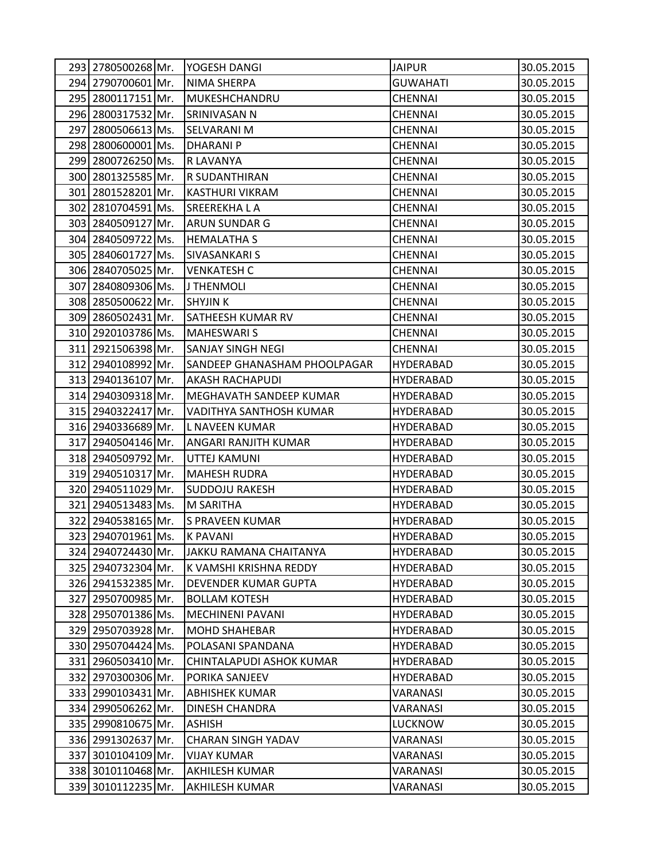|     |                    | 293 2780500268 Mr. YOGESH DANGI | <b>JAIPUR</b>    | 30.05.2015 |
|-----|--------------------|---------------------------------|------------------|------------|
|     | 294 2790700601 Mr. | NIMA SHERPA                     | <b>GUWAHATI</b>  | 30.05.2015 |
|     | 295 2800117151 Mr. | MUKESHCHANDRU                   | <b>CHENNAI</b>   | 30.05.2015 |
|     | 296 2800317532 Mr. | SRINIVASAN N                    | <b>CHENNAI</b>   | 30.05.2015 |
|     | 297 2800506613 Ms. | <b>SELVARANI M</b>              | CHENNAI          | 30.05.2015 |
|     | 298 2800600001 Ms. | <b>DHARANIP</b>                 | <b>CHENNAI</b>   | 30.05.2015 |
|     | 299 2800726250 Ms. | R LAVANYA                       | <b>CHENNAI</b>   | 30.05.2015 |
|     | 300 2801325585 Mr. | R SUDANTHIRAN                   | <b>CHENNAI</b>   | 30.05.2015 |
|     | 301 2801528201 Mr. | <b>KASTHURI VIKRAM</b>          | <b>CHENNAI</b>   | 30.05.2015 |
|     | 302 2810704591 Ms. | <b>SREEREKHALA</b>              | CHENNAI          | 30.05.2015 |
|     | 303 2840509127 Mr. | <b>ARUN SUNDAR G</b>            | <b>CHENNAI</b>   | 30.05.2015 |
|     | 304 2840509722 Ms. | <b>HEMALATHA S</b>              | <b>CHENNAI</b>   | 30.05.2015 |
|     | 305 2840601727 Ms. | <b>SIVASANKARI S</b>            | <b>CHENNAI</b>   | 30.05.2015 |
|     | 306 2840705025 Mr. | <b>VENKATESH C</b>              | <b>CHENNAI</b>   | 30.05.2015 |
|     | 307 2840809306 Ms. | J THENMOLI                      | <b>CHENNAI</b>   | 30.05.2015 |
|     | 308 2850500622 Mr. | SHYJIN K                        | <b>CHENNAI</b>   | 30.05.2015 |
|     | 309 2860502431 Mr. | <b>SATHEESH KUMAR RV</b>        | <b>CHENNAI</b>   | 30.05.2015 |
|     | 310 2920103786 Ms. | <b>MAHESWARI S</b>              | <b>CHENNAI</b>   | 30.05.2015 |
|     | 311 2921506398 Mr. | <b>SANJAY SINGH NEGI</b>        | <b>CHENNAI</b>   | 30.05.2015 |
|     | 312 2940108992 Mr. | SANDEEP GHANASHAM PHOOLPAGAR    | <b>HYDERABAD</b> | 30.05.2015 |
|     | 313 2940136107 Mr. | <b>AKASH RACHAPUDI</b>          | HYDERABAD        | 30.05.2015 |
|     | 314 2940309318 Mr. | MEGHAVATH SANDEEP KUMAR         | <b>HYDERABAD</b> | 30.05.2015 |
|     | 315 2940322417 Mr. | VADITHYA SANTHOSH KUMAR         | <b>HYDERABAD</b> | 30.05.2015 |
|     | 316 2940336689 Mr. | L NAVEEN KUMAR                  | HYDERABAD        | 30.05.2015 |
|     | 317 2940504146 Mr. | <b>ANGARI RANJITH KUMAR</b>     | <b>HYDERABAD</b> | 30.05.2015 |
|     | 318 2940509792 Mr. | UTTEJ KAMUNI                    | HYDERABAD        | 30.05.2015 |
|     | 319 2940510317 Mr. | <b>MAHESH RUDRA</b>             | <b>HYDERABAD</b> | 30.05.2015 |
| 320 | 2940511029 Mr.     | <b>SUDDOJU RAKESH</b>           | <b>HYDERABAD</b> | 30.05.2015 |
|     | 321 2940513483 Ms. | M SARITHA                       | HYDERABAD        | 30.05.2015 |
|     | 322 2940538165 Mr. | <b>S PRAVEEN KUMAR</b>          | <b>HYDERABAD</b> | 30.05.2015 |
|     | 323 2940701961 Ms. | <b>K PAVANI</b>                 | <b>HYDERABAD</b> | 30.05.2015 |
|     | 324 2940724430 Mr. | JAKKU RAMANA CHAITANYA          | <b>HYDERABAD</b> | 30.05.2015 |
|     | 325 2940732304 Mr. | K VAMSHI KRISHNA REDDY          | <b>HYDERABAD</b> | 30.05.2015 |
|     | 326 2941532385 Mr. | <b>DEVENDER KUMAR GUPTA</b>     | HYDERABAD        | 30.05.2015 |
| 327 | 2950700985 Mr.     | <b>BOLLAM KOTESH</b>            | <b>HYDERABAD</b> | 30.05.2015 |
|     | 328 2950701386 Ms. | <b>MECHINENI PAVANI</b>         | <b>HYDERABAD</b> | 30.05.2015 |
|     | 329 2950703928 Mr. | <b>MOHD SHAHEBAR</b>            | <b>HYDERABAD</b> | 30.05.2015 |
|     | 330 2950704424 Ms. | POLASANI SPANDANA               | <b>HYDERABAD</b> | 30.05.2015 |
|     | 331 2960503410 Mr. | CHINTALAPUDI ASHOK KUMAR        | HYDERABAD        | 30.05.2015 |
|     | 332 2970300306 Mr. | PORIKA SANJEEV                  | HYDERABAD        | 30.05.2015 |
|     | 333 2990103431 Mr. | <b>ABHISHEK KUMAR</b>           | VARANASI         | 30.05.2015 |
|     | 334 2990506262 Mr. | <b>DINESH CHANDRA</b>           | VARANASI         | 30.05.2015 |
|     | 335 2990810675 Mr. | ASHISH                          | <b>LUCKNOW</b>   | 30.05.2015 |
|     | 336 2991302637 Mr. | <b>CHARAN SINGH YADAV</b>       | VARANASI         | 30.05.2015 |
|     | 337 3010104109 Mr. | <b>VIJAY KUMAR</b>              | VARANASI         | 30.05.2015 |
|     | 338 3010110468 Mr. | <b>AKHILESH KUMAR</b>           | VARANASI         | 30.05.2015 |
|     | 339 3010112235 Mr. | <b>AKHILESH KUMAR</b>           | VARANASI         | 30.05.2015 |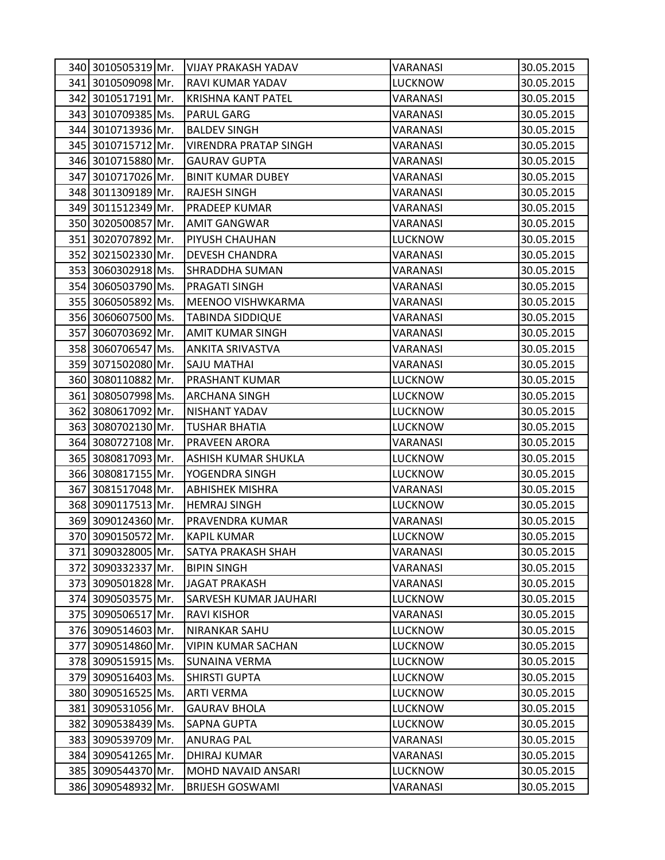| 340 3010505319 Mr. | <b>VIJAY PRAKASH YADAV</b>   | VARANASI       | 30.05.2015 |
|--------------------|------------------------------|----------------|------------|
| 341 3010509098 Mr. | RAVI KUMAR YADAV             | <b>LUCKNOW</b> | 30.05.2015 |
| 342 3010517191 Mr. | <b>KRISHNA KANT PATEL</b>    | VARANASI       | 30.05.2015 |
| 343 3010709385 Ms. | <b>PARUL GARG</b>            | VARANASI       | 30.05.2015 |
| 344 3010713936 Mr. | <b>BALDEV SINGH</b>          | VARANASI       | 30.05.2015 |
| 345 3010715712 Mr. | <b>VIRENDRA PRATAP SINGH</b> | VARANASI       | 30.05.2015 |
| 346 3010715880 Mr. | <b>GAURAV GUPTA</b>          | VARANASI       | 30.05.2015 |
| 347 3010717026 Mr. | <b>BINIT KUMAR DUBEY</b>     | VARANASI       | 30.05.2015 |
| 348 3011309189 Mr. | <b>RAJESH SINGH</b>          | VARANASI       | 30.05.2015 |
| 349 3011512349 Mr. | <b>PRADEEP KUMAR</b>         | VARANASI       | 30.05.2015 |
| 350 3020500857 Mr. | <b>AMIT GANGWAR</b>          | VARANASI       | 30.05.2015 |
| 351 3020707892 Mr. | <b>PIYUSH CHAUHAN</b>        | <b>LUCKNOW</b> | 30.05.2015 |
| 352 3021502330 Mr. | <b>DEVESH CHANDRA</b>        | VARANASI       | 30.05.2015 |
| 353 3060302918 Ms. | <b>SHRADDHA SUMAN</b>        | VARANASI       | 30.05.2015 |
| 354 3060503790 Ms. | <b>PRAGATI SINGH</b>         | VARANASI       | 30.05.2015 |
| 355 3060505892 Ms. | <b>MEENOO VISHWKARMA</b>     | VARANASI       | 30.05.2015 |
| 356 3060607500 Ms. | <b>TABINDA SIDDIQUE</b>      | VARANASI       | 30.05.2015 |
| 357 3060703692 Mr. | <b>AMIT KUMAR SINGH</b>      | VARANASI       | 30.05.2015 |
| 358 3060706547 Ms. | <b>ANKITA SRIVASTVA</b>      | VARANASI       | 30.05.2015 |
| 359 3071502080 Mr. | <b>SAJU MATHAI</b>           | VARANASI       | 30.05.2015 |
| 360 3080110882 Mr. | <b>PRASHANT KUMAR</b>        | <b>LUCKNOW</b> | 30.05.2015 |
| 361 3080507998 Ms. | <b>ARCHANA SINGH</b>         | <b>LUCKNOW</b> | 30.05.2015 |
| 362 3080617092 Mr. | NISHANT YADAV                | <b>LUCKNOW</b> | 30.05.2015 |
| 363 3080702130 Mr. | <b>TUSHAR BHATIA</b>         | <b>LUCKNOW</b> | 30.05.2015 |
| 364 3080727108 Mr. | <b>PRAVEEN ARORA</b>         | VARANASI       | 30.05.2015 |
| 365 3080817093 Mr. | <b>ASHISH KUMAR SHUKLA</b>   | <b>LUCKNOW</b> | 30.05.2015 |
| 366 3080817155 Mr. | YOGENDRA SINGH               | <b>LUCKNOW</b> | 30.05.2015 |
| 367 3081517048 Mr. | <b>ABHISHEK MISHRA</b>       | VARANASI       | 30.05.2015 |
| 368 3090117513 Mr. | <b>HEMRAJ SINGH</b>          | <b>LUCKNOW</b> | 30.05.2015 |
| 369 3090124360 Mr. | PRAVENDRA KUMAR              | VARANASI       | 30.05.2015 |
| 370 3090150572 Mr. | <b>KAPIL KUMAR</b>           | <b>LUCKNOW</b> | 30.05.2015 |
| 371 3090328005 Mr. | <b>SATYA PRAKASH SHAH</b>    | VARANASI       | 30.05.2015 |
| 372 3090332337 Mr. | <b>BIPIN SINGH</b>           | VARANASI       | 30.05.2015 |
| 373 3090501828 Mr. | <b>JAGAT PRAKASH</b>         | VARANASI       | 30.05.2015 |
| 374 3090503575 Mr. | <b>SARVESH KUMAR JAUHARI</b> | <b>LUCKNOW</b> | 30.05.2015 |
| 375 3090506517 Mr. | <b>RAVI KISHOR</b>           | VARANASI       | 30.05.2015 |
| 376 3090514603 Mr. | <b>NIRANKAR SAHU</b>         | <b>LUCKNOW</b> | 30.05.2015 |
| 377 3090514860 Mr. | <b>VIPIN KUMAR SACHAN</b>    | <b>LUCKNOW</b> | 30.05.2015 |
| 378 3090515915 Ms. | <b>SUNAINA VERMA</b>         | <b>LUCKNOW</b> | 30.05.2015 |
| 379 3090516403 Ms. | <b>SHIRSTI GUPTA</b>         | LUCKNOW        | 30.05.2015 |
| 380 3090516525 Ms. | <b>ARTI VERMA</b>            | LUCKNOW        | 30.05.2015 |
| 381 3090531056 Mr. | <b>GAURAV BHOLA</b>          | <b>LUCKNOW</b> | 30.05.2015 |
| 382 3090538439 Ms. | <b>SAPNA GUPTA</b>           | <b>LUCKNOW</b> | 30.05.2015 |
| 383 3090539709 Mr. | <b>ANURAG PAL</b>            | VARANASI       | 30.05.2015 |
| 384 3090541265 Mr. | <b>DHIRAJ KUMAR</b>          | VARANASI       | 30.05.2015 |
| 385 3090544370 Mr. | <b>MOHD NAVAID ANSARI</b>    | <b>LUCKNOW</b> | 30.05.2015 |
| 386 3090548932 Mr. | <b>BRIJESH GOSWAMI</b>       | VARANASI       | 30.05.2015 |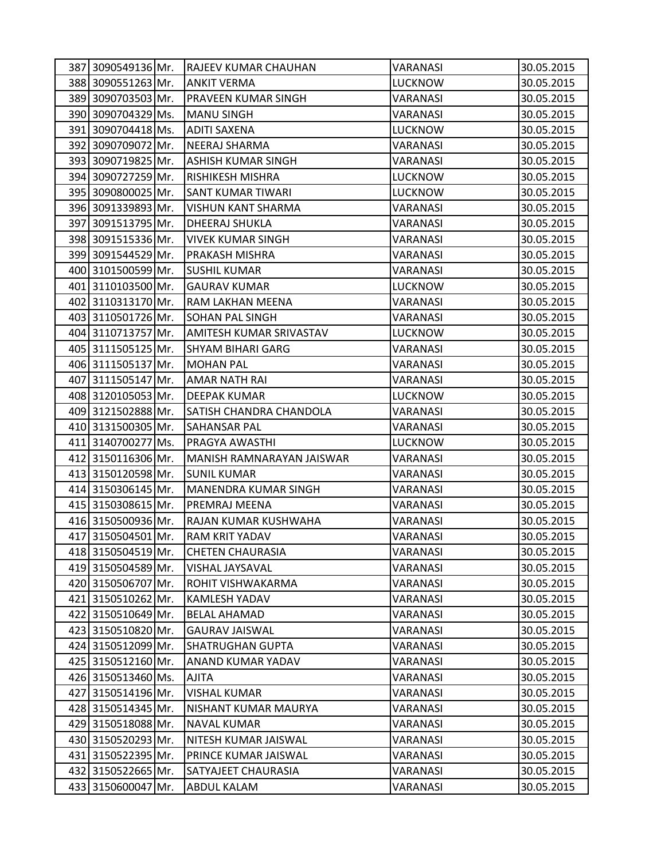| 387 3090549136 Mr. | <b>RAJEEV KUMAR CHAUHAN</b>    | VARANASI       | 30.05.2015 |
|--------------------|--------------------------------|----------------|------------|
| 388 3090551263 Mr. | <b>ANKIT VERMA</b>             | <b>LUCKNOW</b> | 30.05.2015 |
| 389 3090703503 Mr. | PRAVEEN KUMAR SINGH            | VARANASI       | 30.05.2015 |
| 390 3090704329 Ms. | <b>MANU SINGH</b>              | VARANASI       | 30.05.2015 |
| 391 3090704418 Ms. | <b>ADITI SAXENA</b>            | LUCKNOW        | 30.05.2015 |
| 392 3090709072 Mr. | <b>NEERAJ SHARMA</b>           | VARANASI       | 30.05.2015 |
| 393 3090719825 Mr. | <b>ASHISH KUMAR SINGH</b>      | VARANASI       | 30.05.2015 |
| 394 3090727259 Mr. | <b>RISHIKESH MISHRA</b>        | <b>LUCKNOW</b> | 30.05.2015 |
| 395 3090800025 Mr. | <b>SANT KUMAR TIWARI</b>       | <b>LUCKNOW</b> | 30.05.2015 |
| 396 3091339893 Mr. | <b>VISHUN KANT SHARMA</b>      | VARANASI       | 30.05.2015 |
| 397 3091513795 Mr. | <b>DHEERAJ SHUKLA</b>          | VARANASI       | 30.05.2015 |
| 398 3091515336 Mr. | IVIVEK KUMAR SINGH             | VARANASI       | 30.05.2015 |
| 399 3091544529 Mr. | PRAKASH MISHRA                 | VARANASI       | 30.05.2015 |
| 400 3101500599 Mr. | <b>SUSHIL KUMAR</b>            | VARANASI       | 30.05.2015 |
| 401 3110103500 Mr. | <b>GAURAV KUMAR</b>            | <b>LUCKNOW</b> | 30.05.2015 |
| 402 3110313170 Mr. | RAM LAKHAN MEENA               | VARANASI       | 30.05.2015 |
| 403 3110501726 Mr. | <b>SOHAN PAL SINGH</b>         | VARANASI       | 30.05.2015 |
| 404 3110713757 Mr. | AMITESH KUMAR SRIVASTAV        | LUCKNOW        | 30.05.2015 |
| 405 3111505125 Mr. | <b>SHYAM BIHARI GARG</b>       | VARANASI       | 30.05.2015 |
| 406 3111505137 Mr. | <b>MOHAN PAL</b>               | VARANASI       | 30.05.2015 |
| 407 3111505147 Mr. | <b>AMAR NATH RAI</b>           | VARANASI       | 30.05.2015 |
| 408 3120105053 Mr. | <b>DEEPAK KUMAR</b>            | <b>LUCKNOW</b> | 30.05.2015 |
| 409 3121502888 Mr. | <b>SATISH CHANDRA CHANDOLA</b> | VARANASI       | 30.05.2015 |
| 410 3131500305 Mr. | <b>SAHANSAR PAL</b>            | VARANASI       | 30.05.2015 |
| 411 3140700277 Ms. | PRAGYA AWASTHI                 | <b>LUCKNOW</b> | 30.05.2015 |
| 412 3150116306 Mr. | MANISH RAMNARAYAN JAISWAR      | VARANASI       | 30.05.2015 |
| 413 3150120598 Mr. | <b>SUNIL KUMAR</b>             | VARANASI       | 30.05.2015 |
| 414 3150306145 Mr. | <b>MANENDRA KUMAR SINGH</b>    | VARANASI       | 30.05.2015 |
| 415 3150308615 Mr. | PREMRAJ MEENA                  | VARANASI       | 30.05.2015 |
| 416 3150500936 Mr. | RAJAN KUMAR KUSHWAHA           | VARANASI       | 30.05.2015 |
| 417 3150504501 Mr. | <b>RAM KRIT YADAV</b>          | VARANASI       | 30.05.2015 |
| 418 3150504519 Mr. | <b>CHETEN CHAURASIA</b>        | VARANASI       | 30.05.2015 |
| 419 3150504589 Mr. | VISHAL JAYSAVAL                | VARANASI       | 30.05.2015 |
| 420 3150506707 Mr. | ROHIT VISHWAKARMA              | VARANASI       | 30.05.2015 |
| 421 3150510262 Mr. | <b>KAMLESH YADAV</b>           | VARANASI       | 30.05.2015 |
| 422 3150510649 Mr. | <b>BELAL AHAMAD</b>            | VARANASI       | 30.05.2015 |
| 423 3150510820 Mr. | <b>GAURAV JAISWAL</b>          | VARANASI       | 30.05.2015 |
| 424 3150512099 Mr. | <b>SHATRUGHAN GUPTA</b>        | VARANASI       | 30.05.2015 |
| 425 3150512160 Mr. | ANAND KUMAR YADAV              | VARANASI       | 30.05.2015 |
| 426 3150513460 Ms. | <b>AJITA</b>                   | VARANASI       | 30.05.2015 |
| 427 3150514196 Mr. | <b>VISHAL KUMAR</b>            | VARANASI       | 30.05.2015 |
| 428 3150514345 Mr. | NISHANT KUMAR MAURYA           | VARANASI       | 30.05.2015 |
| 429 3150518088 Mr. | <b>NAVAL KUMAR</b>             | VARANASI       | 30.05.2015 |
| 430 3150520293 Mr. | NITESH KUMAR JAISWAL           | VARANASI       | 30.05.2015 |
| 431 3150522395 Mr. | PRINCE KUMAR JAISWAL           | VARANASI       | 30.05.2015 |
| 432 3150522665 Mr. | SATYAJEET CHAURASIA            | VARANASI       | 30.05.2015 |
| 433 3150600047 Mr. | ABDUL KALAM                    | VARANASI       | 30.05.2015 |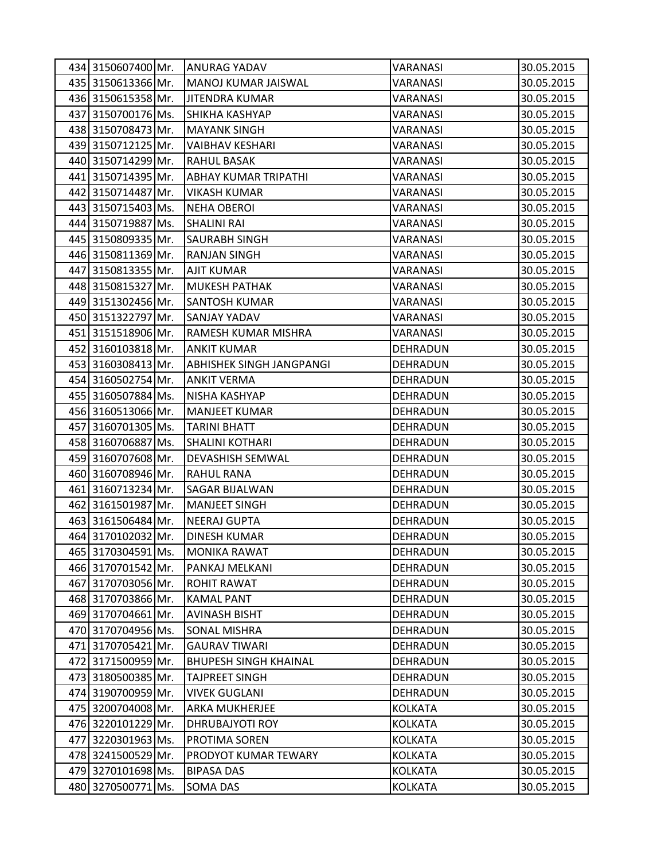|     | 434 3150607400 Mr. | <b>ANURAG YADAV</b>             | VARANASI        | 30.05.2015 |
|-----|--------------------|---------------------------------|-----------------|------------|
|     | 435 3150613366 Mr. | MANOJ KUMAR JAISWAL             | VARANASI        | 30.05.2015 |
|     | 436 3150615358 Mr. | <b>JITENDRA KUMAR</b>           | VARANASI        | 30.05.2015 |
|     | 437 3150700176 Ms. | SHIKHA KASHYAP                  | VARANASI        | 30.05.2015 |
|     | 438 3150708473 Mr. | <b>MAYANK SINGH</b>             | VARANASI        | 30.05.2015 |
|     | 439 3150712125 Mr. | <b>VAIBHAV KESHARI</b>          | VARANASI        | 30.05.2015 |
|     | 440 3150714299 Mr. | <b>RAHUL BASAK</b>              | VARANASI        | 30.05.2015 |
|     | 441 3150714395 Mr. | <b>ABHAY KUMAR TRIPATHI</b>     | VARANASI        | 30.05.2015 |
|     | 442 3150714487 Mr. | <b>VIKASH KUMAR</b>             | VARANASI        | 30.05.2015 |
|     | 443 3150715403 Ms. | <b>NEHA OBEROI</b>              | VARANASI        | 30.05.2015 |
|     | 444 3150719887 Ms. | <b>SHALINI RAI</b>              | VARANASI        | 30.05.2015 |
|     | 445 3150809335 Mr. | <b>SAURABH SINGH</b>            | VARANASI        | 30.05.2015 |
|     | 446 3150811369 Mr. | <b>RANJAN SINGH</b>             | VARANASI        | 30.05.2015 |
|     | 447 3150813355 Mr. | <b>AJIT KUMAR</b>               | VARANASI        | 30.05.2015 |
|     | 448 3150815327 Mr. | <b>MUKESH PATHAK</b>            | VARANASI        | 30.05.2015 |
|     | 449 3151302456 Mr. | <b>SANTOSH KUMAR</b>            | VARANASI        | 30.05.2015 |
|     | 450 3151322797 Mr. | <b>SANJAY YADAV</b>             | VARANASI        | 30.05.2015 |
|     | 451 3151518906 Mr. | RAMESH KUMAR MISHRA             | VARANASI        | 30.05.2015 |
|     | 452 3160103818 Mr. | <b>ANKIT KUMAR</b>              | DEHRADUN        | 30.05.2015 |
|     | 453 3160308413 Mr. | <b>ABHISHEK SINGH JANGPANGI</b> | DEHRADUN        | 30.05.2015 |
|     | 454 3160502754 Mr. | <b>ANKIT VERMA</b>              | DEHRADUN        | 30.05.2015 |
|     | 455 3160507884 Ms. | NISHA KASHYAP                   | DEHRADUN        | 30.05.2015 |
|     | 456 3160513066 Mr. | <b>MANJEET KUMAR</b>            | DEHRADUN        | 30.05.2015 |
|     | 457 3160701305 Ms. | <b>TARINI BHATT</b>             | DEHRADUN        | 30.05.2015 |
|     | 458 3160706887 Ms. | <b>SHALINI KOTHARI</b>          | DEHRADUN        | 30.05.2015 |
|     | 459 3160707608 Mr. | <b>DEVASHISH SEMWAL</b>         | DEHRADUN        | 30.05.2015 |
|     | 460 3160708946 Mr. | <b>RAHUL RANA</b>               | DEHRADUN        | 30.05.2015 |
|     | 461 3160713234 Mr. | <b>SAGAR BIJALWAN</b>           | <b>DEHRADUN</b> | 30.05.2015 |
|     | 462 3161501987 Mr. | MANJEET SINGH                   | <b>DEHRADUN</b> | 30.05.2015 |
|     | 463 3161506484 Mr. | <b>NEERAJ GUPTA</b>             | DEHRADUN        | 30.05.2015 |
|     | 464 3170102032 Mr. | <b>DINESH KUMAR</b>             | DEHRADUN        | 30.05.2015 |
|     | 465 3170304591 Ms. | <b>MONIKA RAWAT</b>             | DEHRADUN        | 30.05.2015 |
|     | 466 3170701542 Mr. | PANKAJ MELKANI                  | DEHRADUN        | 30.05.2015 |
|     | 467 3170703056 Mr. | <b>ROHIT RAWAT</b>              | DEHRADUN        | 30.05.2015 |
|     | 468 3170703866 Mr. | <b>KAMAL PANT</b>               | <b>DEHRADUN</b> | 30.05.2015 |
|     | 469 3170704661 Mr. | <b>AVINASH BISHT</b>            | DEHRADUN        | 30.05.2015 |
|     | 470 3170704956 Ms. | <b>SONAL MISHRA</b>             | DEHRADUN        | 30.05.2015 |
|     | 471 3170705421 Mr. | <b>GAURAV TIWARI</b>            | DEHRADUN        | 30.05.2015 |
|     | 472 3171500959 Mr. | <b>BHUPESH SINGH KHAINAL</b>    | DEHRADUN        | 30.05.2015 |
|     | 473 3180500385 Mr. | <b>TAJPREET SINGH</b>           | DEHRADUN        | 30.05.2015 |
|     | 474 3190700959 Mr. | <b>VIVEK GUGLANI</b>            | DEHRADUN        | 30.05.2015 |
|     | 475 3200704008 Mr. | <b>ARKA MUKHERJEE</b>           | <b>KOLKATA</b>  | 30.05.2015 |
|     | 476 3220101229 Mr. | DHRUBAJYOTI ROY                 | <b>KOLKATA</b>  | 30.05.2015 |
| 477 | 3220301963 Ms.     | PROTIMA SOREN                   | <b>KOLKATA</b>  | 30.05.2015 |
|     | 478 3241500529 Mr. | PRODYOT KUMAR TEWARY            | <b>KOLKATA</b>  | 30.05.2015 |
|     | 479 3270101698 Ms. | <b>BIPASA DAS</b>               | <b>KOLKATA</b>  | 30.05.2015 |
|     | 480 3270500771 Ms. | SOMA DAS                        | <b>KOLKATA</b>  | 30.05.2015 |